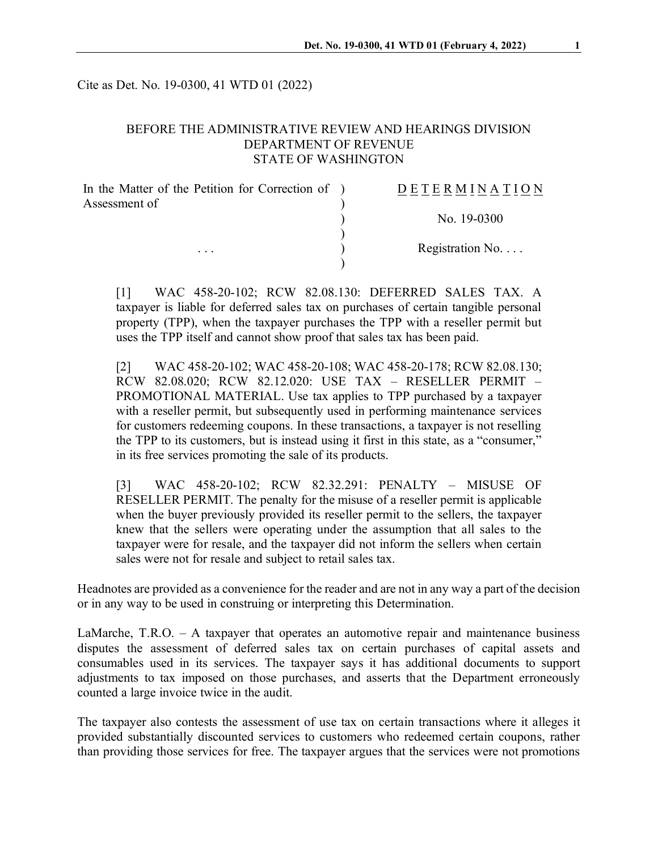Cite as Det. No. 19-0300, 41 WTD 01 (2022)

### BEFORE THE ADMINISTRATIVE REVIEW AND HEARINGS DIVISION DEPARTMENT OF REVENUE STATE OF WASHINGTON

| In the Matter of the Petition for Correction of ) | DETERMINATION            |
|---------------------------------------------------|--------------------------|
| Assessment of<br>$\cdots$                         |                          |
|                                                   | No. 19-0300              |
|                                                   |                          |
|                                                   | Registration No. $\dots$ |
|                                                   |                          |

[1] WAC 458-20-102; RCW 82.08.130: DEFERRED SALES TAX. A taxpayer is liable for deferred sales tax on purchases of certain tangible personal property (TPP), when the taxpayer purchases the TPP with a reseller permit but uses the TPP itself and cannot show proof that sales tax has been paid.

[2] WAC 458-20-102; WAC 458-20-108; WAC 458-20-178; RCW 82.08.130; RCW 82.08.020; RCW 82.12.020: USE TAX – RESELLER PERMIT – PROMOTIONAL MATERIAL. Use tax applies to TPP purchased by a taxpayer with a reseller permit, but subsequently used in performing maintenance services for customers redeeming coupons. In these transactions, a taxpayer is not reselling the TPP to its customers, but is instead using it first in this state, as a "consumer," in its free services promoting the sale of its products.

[3] WAC 458-20-102; RCW 82.32.291: PENALTY – MISUSE OF RESELLER PERMIT. The penalty for the misuse of a reseller permit is applicable when the buyer previously provided its reseller permit to the sellers, the taxpayer knew that the sellers were operating under the assumption that all sales to the taxpayer were for resale, and the taxpayer did not inform the sellers when certain sales were not for resale and subject to retail sales tax.

Headnotes are provided as a convenience for the reader and are not in any way a part of the decision or in any way to be used in construing or interpreting this Determination.

LaMarche, T.R.O. – A taxpayer that operates an automotive repair and maintenance business disputes the assessment of deferred sales tax on certain purchases of capital assets and consumables used in its services. The taxpayer says it has additional documents to support adjustments to tax imposed on those purchases, and asserts that the Department erroneously counted a large invoice twice in the audit.

The taxpayer also contests the assessment of use tax on certain transactions where it alleges it provided substantially discounted services to customers who redeemed certain coupons, rather than providing those services for free. The taxpayer argues that the services were not promotions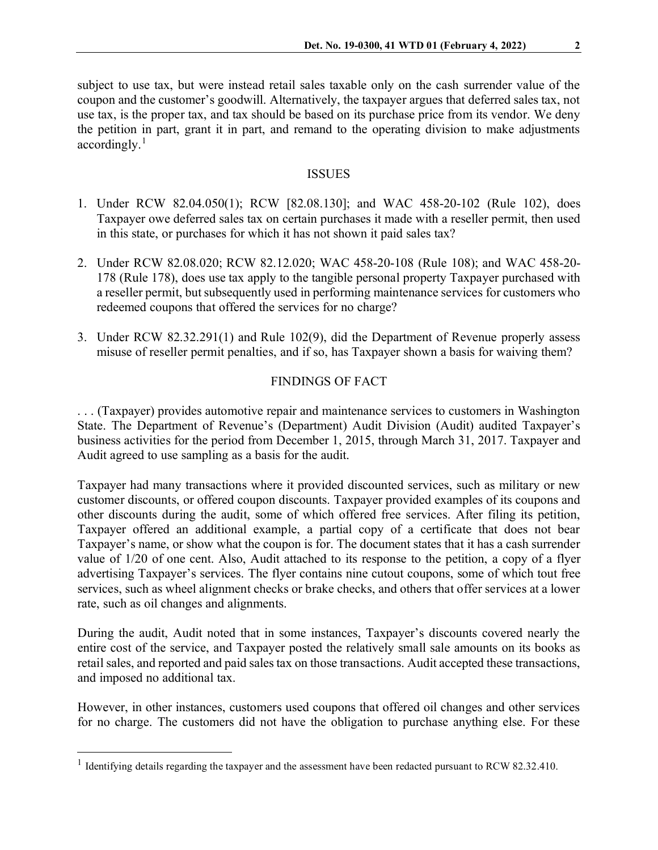subject to use tax, but were instead retail sales taxable only on the cash surrender value of the coupon and the customer's goodwill. Alternatively, the taxpayer argues that deferred sales tax, not use tax, is the proper tax, and tax should be based on its purchase price from its vendor. We deny the petition in part, grant it in part, and remand to the operating division to make adjustments  $accordingly.<sup>1</sup>$  $accordingly.<sup>1</sup>$  $accordingly.<sup>1</sup>$ 

#### ISSUES

- 1. Under RCW 82.04.050(1); RCW [82.08.130]; and WAC 458-20-102 (Rule 102), does Taxpayer owe deferred sales tax on certain purchases it made with a reseller permit, then used in this state, or purchases for which it has not shown it paid sales tax?
- 2. Under RCW 82.08.020; RCW 82.12.020; WAC 458-20-108 (Rule 108); and WAC 458-20- 178 (Rule 178), does use tax apply to the tangible personal property Taxpayer purchased with a reseller permit, but subsequently used in performing maintenance services for customers who redeemed coupons that offered the services for no charge?
- 3. Under RCW 82.32.291(1) and Rule 102(9), did the Department of Revenue properly assess misuse of reseller permit penalties, and if so, has Taxpayer shown a basis for waiving them?

### FINDINGS OF FACT

. . . (Taxpayer) provides automotive repair and maintenance services to customers in Washington State. The Department of Revenue's (Department) Audit Division (Audit) audited Taxpayer's business activities for the period from December 1, 2015, through March 31, 2017. Taxpayer and Audit agreed to use sampling as a basis for the audit.

Taxpayer had many transactions where it provided discounted services, such as military or new customer discounts, or offered coupon discounts. Taxpayer provided examples of its coupons and other discounts during the audit, some of which offered free services. After filing its petition, Taxpayer offered an additional example, a partial copy of a certificate that does not bear Taxpayer's name, or show what the coupon is for. The document states that it has a cash surrender value of 1/20 of one cent. Also, Audit attached to its response to the petition, a copy of a flyer advertising Taxpayer's services. The flyer contains nine cutout coupons, some of which tout free services, such as wheel alignment checks or brake checks, and others that offer services at a lower rate, such as oil changes and alignments.

During the audit, Audit noted that in some instances, Taxpayer's discounts covered nearly the entire cost of the service, and Taxpayer posted the relatively small sale amounts on its books as retail sales, and reported and paid sales tax on those transactions. Audit accepted these transactions, and imposed no additional tax.

However, in other instances, customers used coupons that offered oil changes and other services for no charge. The customers did not have the obligation to purchase anything else. For these

<span id="page-1-0"></span> $1$  Identifying details regarding the taxpayer and the assessment have been redacted pursuant to RCW 82.32.410.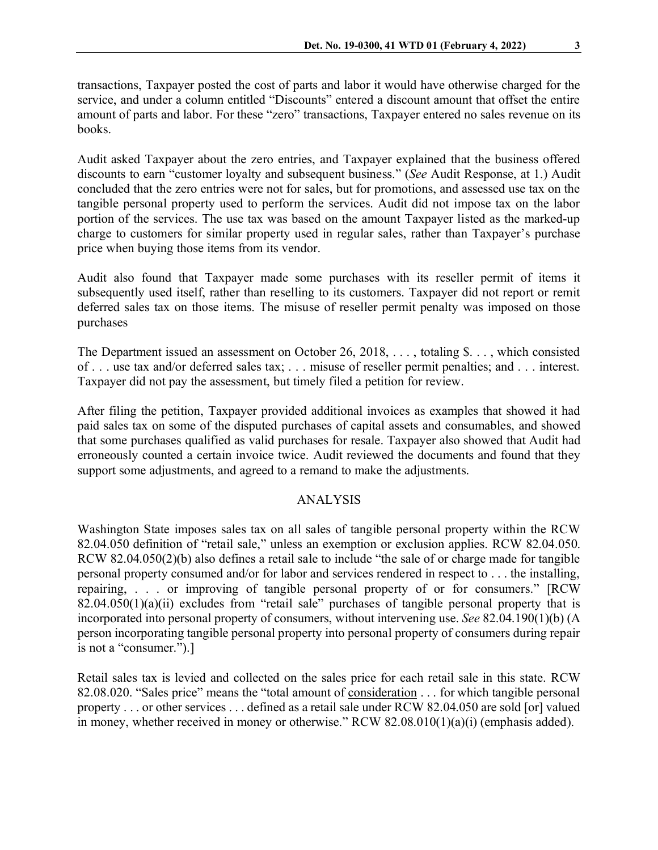transactions, Taxpayer posted the cost of parts and labor it would have otherwise charged for the service, and under a column entitled "Discounts" entered a discount amount that offset the entire amount of parts and labor. For these "zero" transactions, Taxpayer entered no sales revenue on its books.

Audit asked Taxpayer about the zero entries, and Taxpayer explained that the business offered discounts to earn "customer loyalty and subsequent business." (*See* Audit Response, at 1.) Audit concluded that the zero entries were not for sales, but for promotions, and assessed use tax on the tangible personal property used to perform the services. Audit did not impose tax on the labor portion of the services. The use tax was based on the amount Taxpayer listed as the marked-up charge to customers for similar property used in regular sales, rather than Taxpayer's purchase price when buying those items from its vendor.

Audit also found that Taxpayer made some purchases with its reseller permit of items it subsequently used itself, rather than reselling to its customers. Taxpayer did not report or remit deferred sales tax on those items. The misuse of reseller permit penalty was imposed on those purchases

The Department issued an assessment on October 26, 2018, ..., totaling \$..., which consisted of . . . use tax and/or deferred sales tax; . . . misuse of reseller permit penalties; and . . . interest. Taxpayer did not pay the assessment, but timely filed a petition for review.

After filing the petition, Taxpayer provided additional invoices as examples that showed it had paid sales tax on some of the disputed purchases of capital assets and consumables, and showed that some purchases qualified as valid purchases for resale. Taxpayer also showed that Audit had erroneously counted a certain invoice twice. Audit reviewed the documents and found that they support some adjustments, and agreed to a remand to make the adjustments.

## ANALYSIS

Washington State imposes sales tax on all sales of tangible personal property within the RCW 82.04.050 definition of "retail sale," unless an exemption or exclusion applies. RCW 82.04.050. RCW 82.04.050(2)(b) also defines a retail sale to include "the sale of or charge made for tangible personal property consumed and/or for labor and services rendered in respect to . . . the installing, repairing, . . . or improving of tangible personal property of or for consumers." [RCW  $82.04.050(1)(a)(ii)$  excludes from "retail sale" purchases of tangible personal property that is incorporated into personal property of consumers, without intervening use. *See* 82.04.190(1)(b) (A person incorporating tangible personal property into personal property of consumers during repair is not a "consumer.").]

Retail sales tax is levied and collected on the sales price for each retail sale in this state. RCW 82.08.020. "Sales price" means the "total amount of consideration . . . for which tangible personal property . . . or other services . . . defined as a retail sale under RCW 82.04.050 are sold [or] valued in money, whether received in money or otherwise." RCW 82.08.010(1)(a)(i) (emphasis added).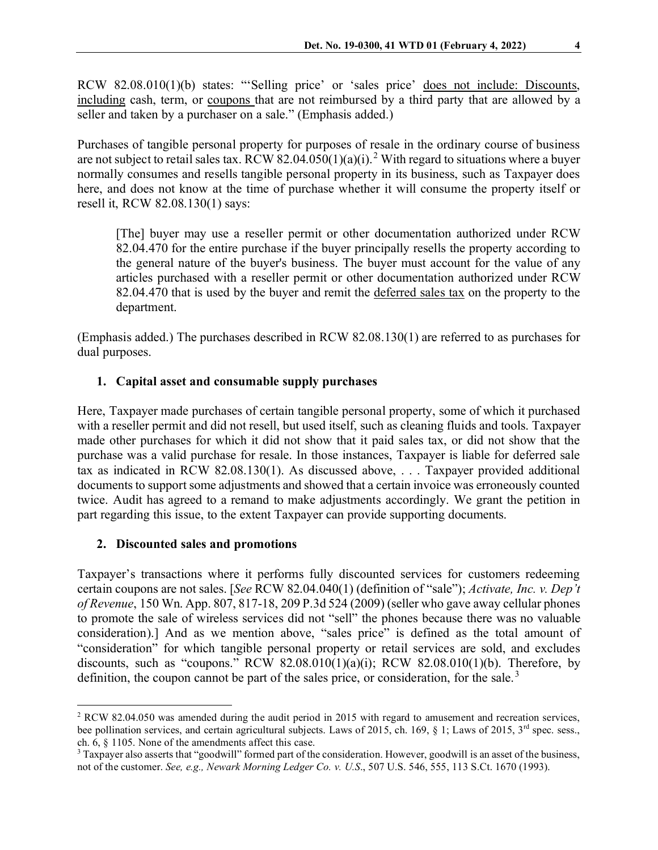RCW 82.08.010(1)(b) states: "'Selling price' or 'sales price' does not include: Discounts, including cash, term, or coupons that are not reimbursed by a third party that are allowed by a seller and taken by a purchaser on a sale." (Emphasis added.)

Purchases of tangible personal property for purposes of resale in the ordinary course of business are not subject to retail sales tax. RCW 8[2](#page-3-0).04.050(1)(a)(i).<sup>2</sup> With regard to situations where a buyer normally consumes and resells tangible personal property in its business, such as Taxpayer does here, and does not know at the time of purchase whether it will consume the property itself or resell it, RCW 82.08.130(1) says:

[The] buyer may use a reseller permit or other documentation authorized under RCW 82.04.470 for the entire purchase if the buyer principally resells the property according to the general nature of the buyer's business. The buyer must account for the value of any articles purchased with a reseller permit or other documentation authorized under RCW 82.04.470 that is used by the buyer and remit the deferred sales tax on the property to the department.

(Emphasis added.) The purchases described in RCW 82.08.130(1) are referred to as purchases for dual purposes.

## **1. Capital asset and consumable supply purchases**

Here, Taxpayer made purchases of certain tangible personal property, some of which it purchased with a reseller permit and did not resell, but used itself, such as cleaning fluids and tools. Taxpayer made other purchases for which it did not show that it paid sales tax, or did not show that the purchase was a valid purchase for resale. In those instances, Taxpayer is liable for deferred sale tax as indicated in RCW 82.08.130(1). As discussed above, . . . Taxpayer provided additional documents to support some adjustments and showed that a certain invoice was erroneously counted twice. Audit has agreed to a remand to make adjustments accordingly. We grant the petition in part regarding this issue, to the extent Taxpayer can provide supporting documents.

#### **2. Discounted sales and promotions**

Taxpayer's transactions where it performs fully discounted services for customers redeeming certain coupons are not sales. [*See* RCW 82.04.040(1) (definition of "sale"); *Activate, Inc. v. Dep't of Revenue*, 150 Wn. App. 807, 817-18, 209 P.3d 524 (2009) (seller who gave away cellular phones to promote the sale of wireless services did not "sell" the phones because there was no valuable consideration).] And as we mention above, "sales price" is defined as the total amount of "consideration" for which tangible personal property or retail services are sold, and excludes discounts, such as "coupons."  $RCW$  82.08.010(1)(a)(i);  $RCW$  82.08.010(1)(b). Therefore, by definition, the coupon cannot be part of the sales price, or consideration, for the sale.<sup>[3](#page-3-1)</sup>

<span id="page-3-0"></span><sup>2</sup> RCW 82.04.050 was amended during the audit period in 2015 with regard to amusement and recreation services, bee pollination services, and certain agricultural subjects. Laws of 2015, ch. 169,  $\S$  1; Laws of 2015, 3<sup>rd</sup> spec. sess., ch. 6, § 1105. None of the amendments affect this case.

<span id="page-3-1"></span> $3$  Taxpayer also asserts that "goodwill" formed part of the consideration. However, goodwill is an asset of the business, not of the customer. *See, e.g., Newark Morning Ledger Co. v. U.S*., 507 U.S. 546, 555, 113 S.Ct. 1670 (1993).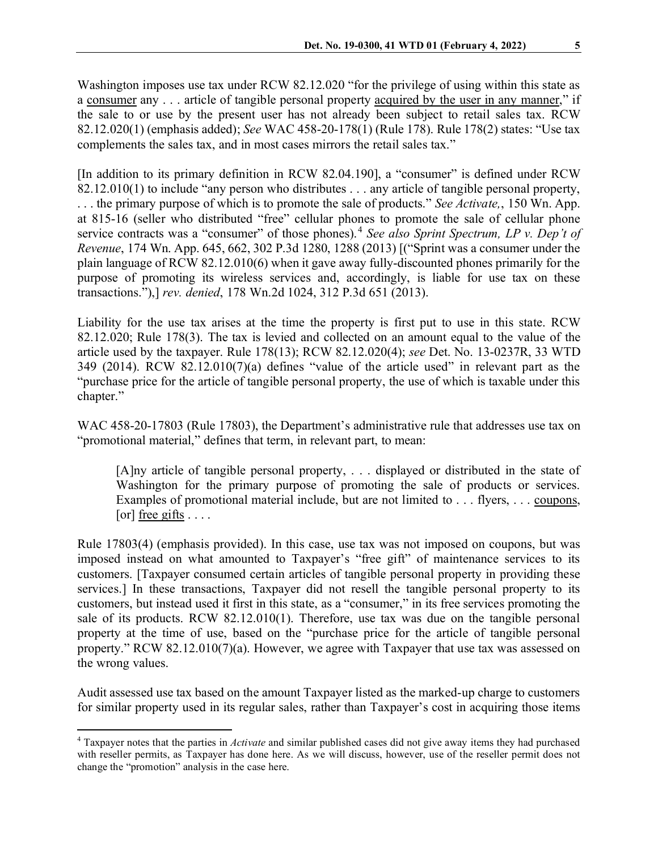Washington imposes use tax under RCW 82.12.020 "for the privilege of using within this state as a consumer any . . . article of tangible personal property acquired by the user in any manner," if the sale to or use by the present user has not already been subject to retail sales tax. RCW 82.12.020(1) (emphasis added); *See* WAC 458-20-178(1) (Rule 178). Rule 178(2) states: "Use tax complements the sales tax, and in most cases mirrors the retail sales tax."

[In addition to its primary definition in RCW 82.04.190], a "consumer" is defined under RCW 82.12.010(1) to include "any person who distributes . . . any article of tangible personal property, . . . the primary purpose of which is to promote the sale of products." *See Activate,*, 150 Wn. App. at 815-16 (seller who distributed "free" cellular phones to promote the sale of cellular phone service contracts was a "consumer" of those phones).[4](#page-4-0) *See also Sprint Spectrum, LP v. Dep't of Revenue*, 174 Wn. App. 645, 662, 302 P.3d 1280, 1288 (2013) [("Sprint was a consumer under the plain language of RCW 82.12.010(6) when it gave away fully-discounted phones primarily for the purpose of promoting its wireless services and, accordingly, is liable for use tax on these transactions."),] *rev. denied*, 178 Wn.2d 1024, 312 P.3d 651 (2013).

Liability for the use tax arises at the time the property is first put to use in this state. RCW 82.12.020; Rule 178(3). The tax is levied and collected on an amount equal to the value of the article used by the taxpayer. Rule 178(13); RCW 82.12.020(4); *see* Det. No. 13-0237R, 33 WTD 349 (2014). RCW 82.12.010(7)(a) defines "value of the article used" in relevant part as the "purchase price for the article of tangible personal property, the use of which is taxable under this chapter."

WAC 458-20-17803 (Rule 17803), the Department's administrative rule that addresses use tax on "promotional material," defines that term, in relevant part, to mean:

[A]ny article of tangible personal property, . . . displayed or distributed in the state of Washington for the primary purpose of promoting the sale of products or services. Examples of promotional material include, but are not limited to . . . flyers, . . . coupons, [or] free gifts  $\dots$ .

Rule 17803(4) (emphasis provided). In this case, use tax was not imposed on coupons, but was imposed instead on what amounted to Taxpayer's "free gift" of maintenance services to its customers. [Taxpayer consumed certain articles of tangible personal property in providing these services.] In these transactions, Taxpayer did not resell the tangible personal property to its customers, but instead used it first in this state, as a "consumer," in its free services promoting the sale of its products. RCW 82.12.010(1). Therefore, use tax was due on the tangible personal property at the time of use, based on the "purchase price for the article of tangible personal property." RCW 82.12.010(7)(a). However, we agree with Taxpayer that use tax was assessed on the wrong values.

Audit assessed use tax based on the amount Taxpayer listed as the marked-up charge to customers for similar property used in its regular sales, rather than Taxpayer's cost in acquiring those items

<span id="page-4-0"></span><sup>4</sup> Taxpayer notes that the parties in *Activate* and similar published cases did not give away items they had purchased with reseller permits, as Taxpayer has done here. As we will discuss, however, use of the reseller permit does not change the "promotion" analysis in the case here.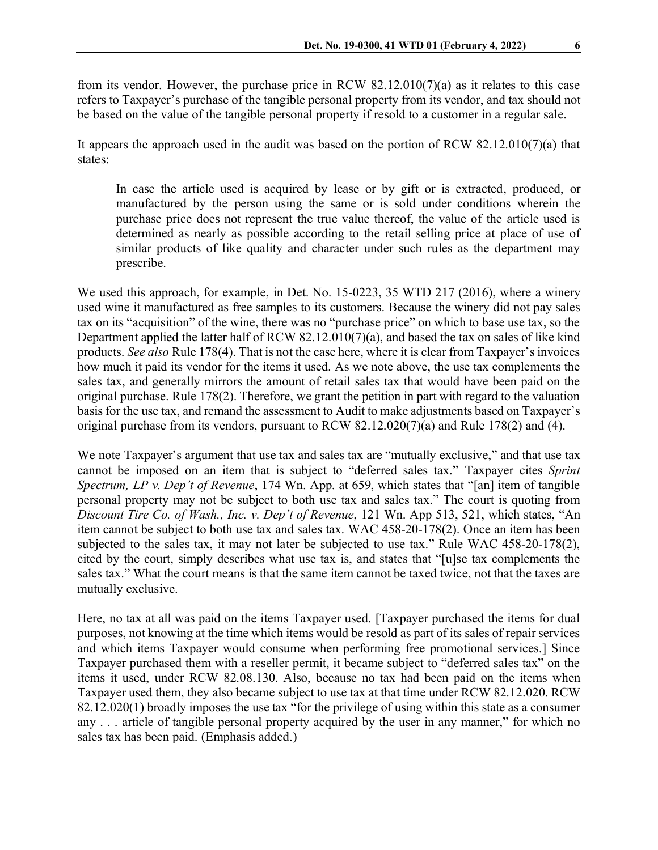from its vendor. However, the purchase price in RCW 82.12.010(7)(a) as it relates to this case refers to Taxpayer's purchase of the tangible personal property from its vendor, and tax should not be based on the value of the tangible personal property if resold to a customer in a regular sale.

It appears the approach used in the audit was based on the portion of RCW 82.12.010(7)(a) that states:

In case the article used is acquired by lease or by gift or is extracted, produced, or manufactured by the person using the same or is sold under conditions wherein the purchase price does not represent the true value thereof, the value of the article used is determined as nearly as possible according to the retail selling price at place of use of similar products of like quality and character under such rules as the department may prescribe.

We used this approach, for example, in Det. No. 15-0223, 35 WTD 217 (2016), where a winery used wine it manufactured as free samples to its customers. Because the winery did not pay sales tax on its "acquisition" of the wine, there was no "purchase price" on which to base use tax, so the Department applied the latter half of RCW 82.12.010(7)(a), and based the tax on sales of like kind products. *See also* Rule 178(4). That is not the case here, where it is clear from Taxpayer's invoices how much it paid its vendor for the items it used. As we note above, the use tax complements the sales tax, and generally mirrors the amount of retail sales tax that would have been paid on the original purchase. Rule 178(2). Therefore, we grant the petition in part with regard to the valuation basis for the use tax, and remand the assessment to Audit to make adjustments based on Taxpayer's original purchase from its vendors, pursuant to RCW 82.12.020(7)(a) and Rule 178(2) and (4).

We note Taxpayer's argument that use tax and sales tax are "mutually exclusive," and that use tax cannot be imposed on an item that is subject to "deferred sales tax." Taxpayer cites *Sprint Spectrum, LP v. Dep't of Revenue*, 174 Wn. App. at 659, which states that "[an] item of tangible personal property may not be subject to both use tax and sales tax." The court is quoting from *Discount Tire Co. of Wash., Inc. v. Dep't of Revenue*, 121 Wn. App 513, 521, which states, "An item cannot be subject to both use tax and sales tax. WAC 458-20-178(2). Once an item has been subjected to the sales tax, it may not later be subjected to use tax." Rule WAC 458-20-178(2), cited by the court, simply describes what use tax is, and states that "[u]se tax complements the sales tax." What the court means is that the same item cannot be taxed twice, not that the taxes are mutually exclusive.

Here, no tax at all was paid on the items Taxpayer used. [Taxpayer purchased the items for dual purposes, not knowing at the time which items would be resold as part of its sales of repair services and which items Taxpayer would consume when performing free promotional services.] Since Taxpayer purchased them with a reseller permit, it became subject to "deferred sales tax" on the items it used, under RCW 82.08.130. Also, because no tax had been paid on the items when Taxpayer used them, they also became subject to use tax at that time under RCW 82.12.020. RCW 82.12.020(1) broadly imposes the use tax "for the privilege of using within this state as a consumer any . . . article of tangible personal property acquired by the user in any manner," for which no sales tax has been paid. (Emphasis added.)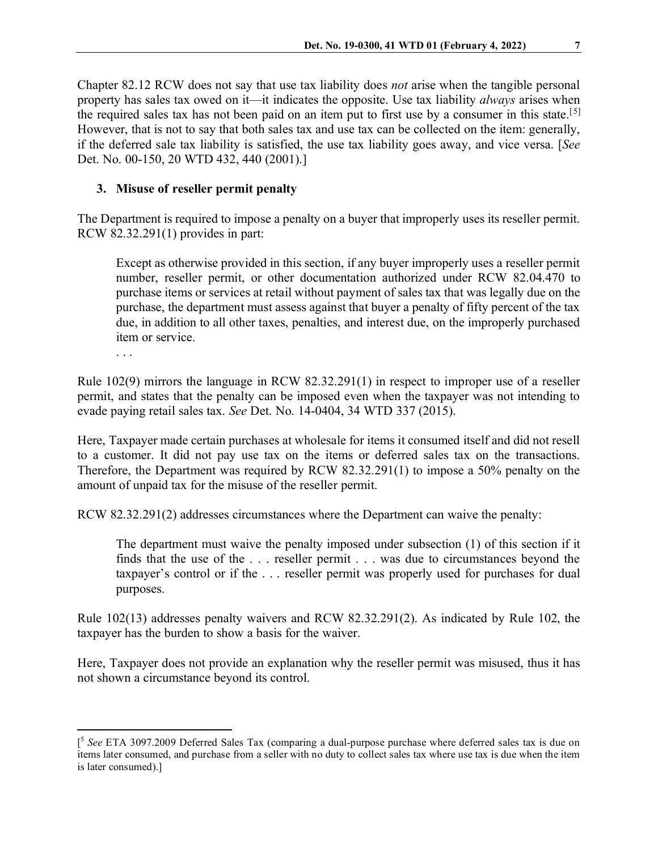Chapter 82.12 RCW does not say that use tax liability does *not* arise when the tangible personal property has sales tax owed on it—it indicates the opposite. Use tax liability *always* arises when the required sales tax has not been paid on an item put to first use by a consumer in this state.<sup>[[5\]](#page-6-0)</sup> However, that is not to say that both sales tax and use tax can be collected on the item: generally, if the deferred sale tax liability is satisfied, the use tax liability goes away, and vice versa. [*See*  Det. No. 00-150, 20 WTD 432, 440 (2001).]

# **3. Misuse of reseller permit penalty**

The Department is required to impose a penalty on a buyer that improperly uses its reseller permit. RCW 82.32.291(1) provides in part:

Except as otherwise provided in this section, if any buyer improperly uses a reseller permit number, reseller permit, or other documentation authorized under RCW 82.04.470 to purchase items or services at retail without payment of sales tax that was legally due on the purchase, the department must assess against that buyer a penalty of fifty percent of the tax due, in addition to all other taxes, penalties, and interest due, on the improperly purchased item or service.

. . .

Rule 102(9) mirrors the language in RCW 82.32.291(1) in respect to improper use of a reseller permit, and states that the penalty can be imposed even when the taxpayer was not intending to evade paying retail sales tax. *See* Det. No. 14-0404, 34 WTD 337 (2015).

Here, Taxpayer made certain purchases at wholesale for items it consumed itself and did not resell to a customer. It did not pay use tax on the items or deferred sales tax on the transactions. Therefore, the Department was required by RCW 82.32.291(1) to impose a 50% penalty on the amount of unpaid tax for the misuse of the reseller permit.

RCW 82.32.291(2) addresses circumstances where the Department can waive the penalty:

The department must waive the penalty imposed under subsection (1) of this section if it finds that the use of the . . . reseller permit . . . was due to circumstances beyond the taxpayer's control or if the . . . reseller permit was properly used for purchases for dual purposes.

Rule 102(13) addresses penalty waivers and RCW 82.32.291(2). As indicated by Rule 102, the taxpayer has the burden to show a basis for the waiver.

Here, Taxpayer does not provide an explanation why the reseller permit was misused, thus it has not shown a circumstance beyond its control.

<span id="page-6-0"></span><sup>[</sup> <sup>5</sup> *See* ETA 3097.2009 Deferred Sales Tax (comparing a dual-purpose purchase where deferred sales tax is due on items later consumed, and purchase from a seller with no duty to collect sales tax where use tax is due when the item is later consumed).]